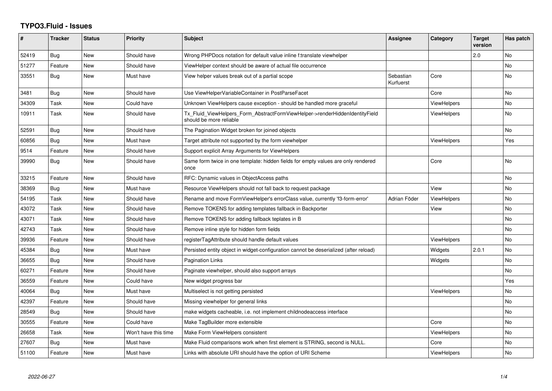## **TYPO3.Fluid - Issues**

| #     | <b>Tracker</b> | <b>Status</b> | <b>Priority</b>      | <b>Subject</b>                                                                                         | Assignee               | Category           | <b>Target</b><br>version | Has patch      |
|-------|----------------|---------------|----------------------|--------------------------------------------------------------------------------------------------------|------------------------|--------------------|--------------------------|----------------|
| 52419 | Bug            | <b>New</b>    | Should have          | Wrong PHPDocs notation for default value inline f:translate viewhelper                                 |                        |                    | 2.0                      | <b>No</b>      |
| 51277 | Feature        | New           | Should have          | ViewHelper context should be aware of actual file occurrence                                           |                        |                    |                          | No             |
| 33551 | Bug            | New           | Must have            | View helper values break out of a partial scope                                                        | Sebastian<br>Kurfuerst | Core               |                          | No             |
| 3481  | <b>Bug</b>     | New           | Should have          | Use ViewHelperVariableContainer in PostParseFacet                                                      |                        | Core               |                          | No             |
| 34309 | Task           | New           | Could have           | Unknown ViewHelpers cause exception - should be handled more graceful                                  |                        | <b>ViewHelpers</b> |                          | <b>No</b>      |
| 10911 | Task           | New           | Should have          | Tx_Fluid_ViewHelpers_Form_AbstractFormViewHelper->renderHiddenIdentityField<br>should be more reliable |                        | ViewHelpers        |                          | No             |
| 52591 | Bug            | New           | Should have          | The Pagination Widget broken for joined objects                                                        |                        |                    |                          | N <sub>o</sub> |
| 60856 | Bug            | <b>New</b>    | Must have            | Target attribute not supported by the form viewhelper                                                  |                        | <b>ViewHelpers</b> |                          | Yes            |
| 9514  | Feature        | New           | Should have          | Support explicit Array Arguments for ViewHelpers                                                       |                        |                    |                          |                |
| 39990 | Bug            | New           | Should have          | Same form twice in one template: hidden fields for empty values are only rendered<br>once              |                        | Core               |                          | No             |
| 33215 | Feature        | New           | Should have          | RFC: Dynamic values in ObjectAccess paths                                                              |                        |                    |                          | No             |
| 38369 | Bug            | New           | Must have            | Resource ViewHelpers should not fall back to request package                                           |                        | View               |                          | <b>No</b>      |
| 54195 | Task           | New           | Should have          | Rename and move FormViewHelper's errorClass value, currently 'f3-form-error'                           | Adrian Föder           | <b>ViewHelpers</b> |                          | <b>No</b>      |
| 43072 | Task           | <b>New</b>    | Should have          | Remove TOKENS for adding templates fallback in Backporter                                              |                        | View               |                          | No             |
| 43071 | Task           | New           | Should have          | Remove TOKENS for adding fallback teplates in B                                                        |                        |                    |                          | No             |
| 42743 | Task           | <b>New</b>    | Should have          | Remove inline style for hidden form fields                                                             |                        |                    |                          | N <sub>o</sub> |
| 39936 | Feature        | New           | Should have          | registerTagAttribute should handle default values                                                      |                        | ViewHelpers        |                          | <b>No</b>      |
| 45384 | Bug            | <b>New</b>    | Must have            | Persisted entity object in widget-configuration cannot be deserialized (after reload)                  |                        | Widgets            | 2.0.1                    | <b>No</b>      |
| 36655 | Bug            | New           | Should have          | <b>Pagination Links</b>                                                                                |                        | Widgets            |                          | No             |
| 60271 | Feature        | <b>New</b>    | Should have          | Paginate viewhelper, should also support arrays                                                        |                        |                    |                          | <b>No</b>      |
| 36559 | Feature        | New           | Could have           | New widget progress bar                                                                                |                        |                    |                          | Yes            |
| 40064 | Bug            | <b>New</b>    | Must have            | Multiselect is not getting persisted                                                                   |                        | <b>ViewHelpers</b> |                          | <b>No</b>      |
| 42397 | Feature        | New           | Should have          | Missing viewhelper for general links                                                                   |                        |                    |                          | No             |
| 28549 | Bug            | New           | Should have          | make widgets cacheable, i.e. not implement childnodeaccess interface                                   |                        |                    |                          | <b>No</b>      |
| 30555 | Feature        | New           | Could have           | Make TagBuilder more extensible                                                                        |                        | Core               |                          | No             |
| 26658 | Task           | New           | Won't have this time | Make Form ViewHelpers consistent                                                                       |                        | <b>ViewHelpers</b> |                          | <b>No</b>      |
| 27607 | Bug            | New           | Must have            | Make Fluid comparisons work when first element is STRING, second is NULL.                              |                        | Core               |                          | No             |
| 51100 | Feature        | New           | Must have            | Links with absolute URI should have the option of URI Scheme                                           |                        | <b>ViewHelpers</b> |                          | No.            |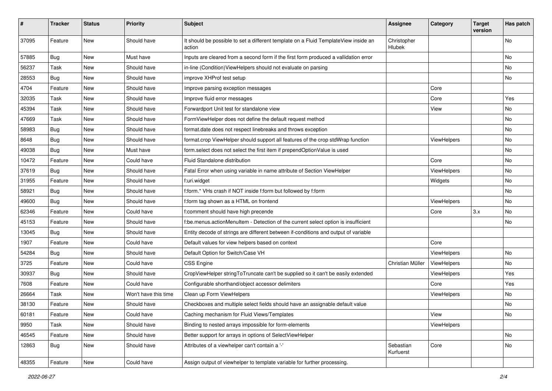| ∦     | <b>Tracker</b> | <b>Status</b> | <b>Priority</b>      | Subject                                                                                       | <b>Assignee</b>        | Category    | <b>Target</b><br>version | Has patch |
|-------|----------------|---------------|----------------------|-----------------------------------------------------------------------------------------------|------------------------|-------------|--------------------------|-----------|
| 37095 | Feature        | New           | Should have          | It should be possible to set a different template on a Fluid TemplateView inside an<br>action | Christopher<br>Hlubek  |             |                          | <b>No</b> |
| 57885 | Bug            | New           | Must have            | Inputs are cleared from a second form if the first form produced a vallidation error          |                        |             |                          | <b>No</b> |
| 56237 | Task           | <b>New</b>    | Should have          | in-line (Condition) View Helpers should not evaluate on parsing                               |                        |             |                          | No        |
| 28553 | Bug            | New           | Should have          | improve XHProf test setup                                                                     |                        |             |                          | No        |
| 4704  | Feature        | New           | Should have          | Improve parsing exception messages                                                            |                        | Core        |                          |           |
| 32035 | Task           | New           | Should have          | Improve fluid error messages                                                                  |                        | Core        |                          | Yes       |
| 45394 | Task           | New           | Should have          | Forwardport Unit test for standalone view                                                     |                        | View        |                          | No        |
| 47669 | Task           | New           | Should have          | FormViewHelper does not define the default request method                                     |                        |             |                          | No        |
| 58983 | Bug            | New           | Should have          | format.date does not respect linebreaks and throws exception                                  |                        |             |                          | No        |
| 8648  | Bug            | New           | Should have          | format.crop ViewHelper should support all features of the crop stdWrap function               |                        | ViewHelpers |                          | No        |
| 49038 | Bug            | New           | Must have            | form.select does not select the first item if prependOptionValue is used                      |                        |             |                          | No        |
| 10472 | Feature        | New           | Could have           | Fluid Standalone distribution                                                                 |                        | Core        |                          | No        |
| 37619 | Bug            | <b>New</b>    | Should have          | Fatal Error when using variable in name attribute of Section ViewHelper                       |                        | ViewHelpers |                          | <b>No</b> |
| 31955 | Feature        | New           | Should have          | f:uri.widget                                                                                  |                        | Widgets     |                          | No        |
| 58921 | Bug            | New           | Should have          | f:form.* VHs crash if NOT inside f:form but followed by f:form                                |                        |             |                          | No        |
| 49600 | Bug            | New           | Should have          | f:form tag shown as a HTML on frontend                                                        |                        | ViewHelpers |                          | <b>No</b> |
| 62346 | Feature        | New           | Could have           | f:comment should have high precende                                                           |                        | Core        | 3.x                      | No        |
| 45153 | Feature        | New           | Should have          | f:be.menus.actionMenuItem - Detection of the current select option is insufficient            |                        |             |                          | <b>No</b> |
| 13045 | Bug            | New           | Should have          | Entity decode of strings are different between if-conditions and output of variable           |                        |             |                          |           |
| 1907  | Feature        | New           | Could have           | Default values for view helpers based on context                                              |                        | Core        |                          |           |
| 54284 | Bug            | New           | Should have          | Default Option for Switch/Case VH                                                             |                        | ViewHelpers |                          | No        |
| 3725  | Feature        | New           | Could have           | <b>CSS Engine</b>                                                                             | Christian Müller       | ViewHelpers |                          | No        |
| 30937 | Bug            | New           | Should have          | CropViewHelper stringToTruncate can't be supplied so it can't be easily extended              |                        | ViewHelpers |                          | Yes       |
| 7608  | Feature        | New           | Could have           | Configurable shorthand/object accessor delimiters                                             |                        | Core        |                          | Yes       |
| 26664 | Task           | New           | Won't have this time | Clean up Form ViewHelpers                                                                     |                        | ViewHelpers |                          | No        |
| 38130 | Feature        | New           | Should have          | Checkboxes and multiple select fields should have an assignable default value                 |                        |             |                          | No        |
| 60181 | Feature        | New           | Could have           | Caching mechanism for Fluid Views/Templates                                                   |                        | View        |                          | No        |
| 9950  | Task           | New           | Should have          | Binding to nested arrays impossible for form-elements                                         |                        | ViewHelpers |                          |           |
| 46545 | Feature        | New           | Should have          | Better support for arrays in options of SelectViewHelper                                      |                        |             |                          | No        |
| 12863 | Bug            | New           | Should have          | Attributes of a viewhelper can't contain a '-'                                                | Sebastian<br>Kurfuerst | Core        |                          | No        |
| 48355 | Feature        | New           | Could have           | Assign output of viewhelper to template variable for further processing.                      |                        |             |                          |           |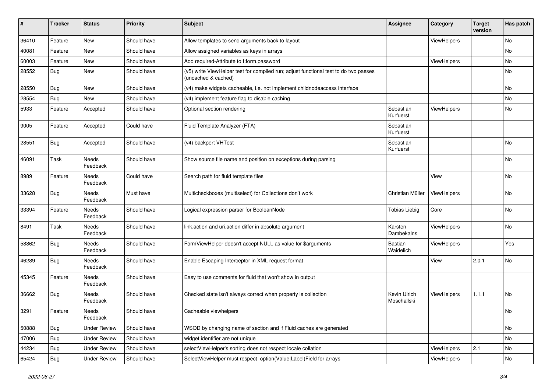| #     | <b>Tracker</b> | <b>Status</b>       | <b>Priority</b> | Subject                                                                                                     | <b>Assignee</b>             | Category    | <b>Target</b><br>version | Has patch |
|-------|----------------|---------------------|-----------------|-------------------------------------------------------------------------------------------------------------|-----------------------------|-------------|--------------------------|-----------|
| 36410 | Feature        | New                 | Should have     | Allow templates to send arguments back to layout                                                            |                             | ViewHelpers |                          | No        |
| 40081 | Feature        | New                 | Should have     | Allow assigned variables as keys in arrays                                                                  |                             |             |                          | No        |
| 60003 | Feature        | New                 | Should have     | Add required-Attribute to f:form.password                                                                   |                             | ViewHelpers |                          | No        |
| 28552 | Bug            | New                 | Should have     | (v5) write ViewHelper test for compiled run; adjust functional test to do two passes<br>(uncached & cached) |                             |             |                          | No        |
| 28550 | <b>Bug</b>     | New                 | Should have     | (v4) make widgets cacheable, i.e. not implement childnodeaccess interface                                   |                             |             |                          | <b>No</b> |
| 28554 | Bug            | New                 | Should have     | (v4) implement feature flag to disable caching                                                              |                             |             |                          | No        |
| 5933  | Feature        | Accepted            | Should have     | Optional section rendering                                                                                  | Sebastian<br>Kurfuerst      | ViewHelpers |                          | No        |
| 9005  | Feature        | Accepted            | Could have      | Fluid Template Analyzer (FTA)                                                                               | Sebastian<br>Kurfuerst      |             |                          |           |
| 28551 | <b>Bug</b>     | Accepted            | Should have     | (v4) backport VHTest                                                                                        | Sebastian<br>Kurfuerst      |             |                          | No        |
| 46091 | Task           | Needs<br>Feedback   | Should have     | Show source file name and position on exceptions during parsing                                             |                             |             |                          | No        |
| 8989  | Feature        | Needs<br>Feedback   | Could have      | Search path for fluid template files                                                                        |                             | View        |                          | No        |
| 33628 | Bug            | Needs<br>Feedback   | Must have       | Multicheckboxes (multiselect) for Collections don't work                                                    | Christian Müller            | ViewHelpers |                          | No        |
| 33394 | Feature        | Needs<br>Feedback   | Should have     | Logical expression parser for BooleanNode                                                                   | <b>Tobias Liebig</b>        | Core        |                          | No        |
| 8491  | Task           | Needs<br>Feedback   | Should have     | link.action and uri.action differ in absolute argument                                                      | Karsten<br>Dambekalns       | ViewHelpers |                          | No        |
| 58862 | Bug            | Needs<br>Feedback   | Should have     | FormViewHelper doesn't accept NULL as value for \$arguments                                                 | <b>Bastian</b><br>Waidelich | ViewHelpers |                          | Yes       |
| 46289 | <b>Bug</b>     | Needs<br>Feedback   | Should have     | Enable Escaping Interceptor in XML request format                                                           |                             | View        | 2.0.1                    | No        |
| 45345 | Feature        | Needs<br>Feedback   | Should have     | Easy to use comments for fluid that won't show in output                                                    |                             |             |                          |           |
| 36662 | Bug            | Needs<br>Feedback   | Should have     | Checked state isn't always correct when property is collection                                              | Kevin Ulrich<br>Moschallski | ViewHelpers | 1.1.1                    | <b>No</b> |
| 3291  | Feature        | Needs<br>Feedback   | Should have     | Cacheable viewhelpers                                                                                       |                             |             |                          | No        |
| 50888 | <b>Bug</b>     | <b>Under Review</b> | Should have     | WSOD by changing name of section and if Fluid caches are generated                                          |                             |             |                          | No        |
| 47006 | <b>Bug</b>     | <b>Under Review</b> | Should have     | widget identifier are not unique                                                                            |                             |             |                          | No        |
| 44234 | <b>Bug</b>     | <b>Under Review</b> | Should have     | selectViewHelper's sorting does not respect locale collation                                                |                             | ViewHelpers | 2.1                      | No        |
| 65424 | Bug            | <b>Under Review</b> | Should have     | SelectViewHelper must respect option(Value Label)Field for arrays                                           |                             | ViewHelpers |                          | No        |